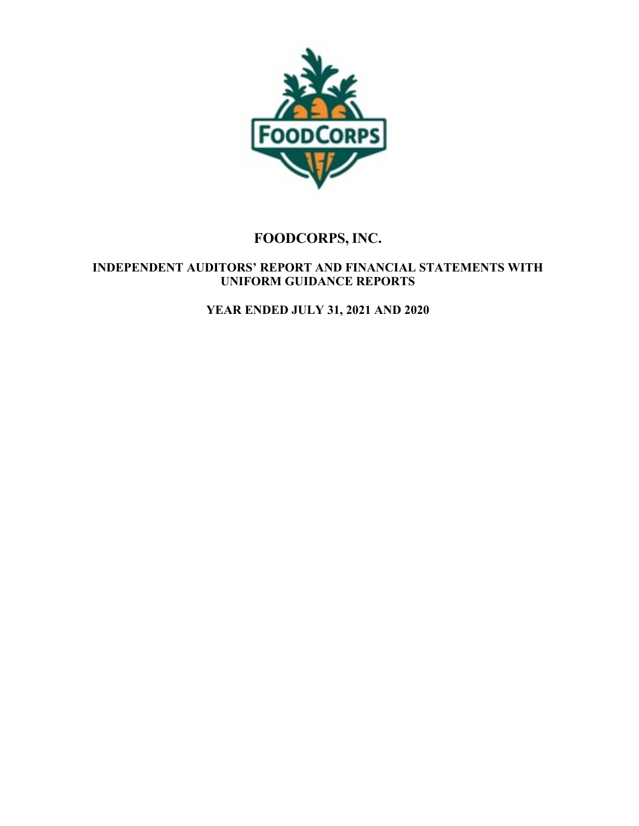

## **INDEPENDENT AUDITORS' REPORT AND FINANCIAL STATEMENTS WITH UNIFORM GUIDANCE REPORTS**

**YEAR ENDED JULY 31, 2021 AND 2020**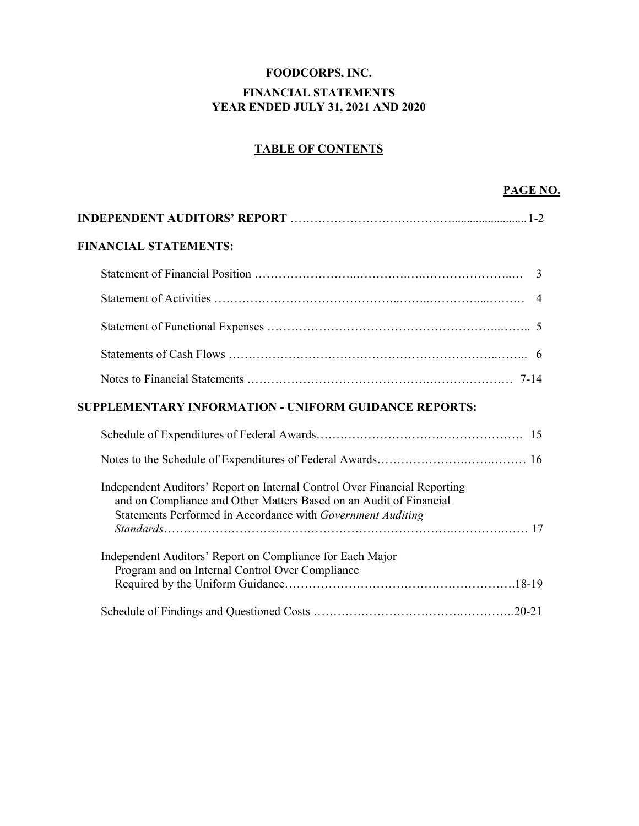# **FOODCORPS, INC. FINANCIAL STATEMENTS YEAR ENDED JULY 31, 2021 AND 2020**

# **TABLE OF CONTENTS**

## **PAGE NO.**

| <b>FINANCIAL STATEMENTS:</b>                                                                                                                                                                                   |
|----------------------------------------------------------------------------------------------------------------------------------------------------------------------------------------------------------------|
|                                                                                                                                                                                                                |
| $\overline{4}$                                                                                                                                                                                                 |
|                                                                                                                                                                                                                |
|                                                                                                                                                                                                                |
|                                                                                                                                                                                                                |
| SUPPLEMENTARY INFORMATION - UNIFORM GUIDANCE REPORTS:                                                                                                                                                          |
|                                                                                                                                                                                                                |
|                                                                                                                                                                                                                |
| Independent Auditors' Report on Internal Control Over Financial Reporting<br>and on Compliance and Other Matters Based on an Audit of Financial<br>Statements Performed in Accordance with Government Auditing |
| Independent Auditors' Report on Compliance for Each Major<br>Program and on Internal Control Over Compliance                                                                                                   |
|                                                                                                                                                                                                                |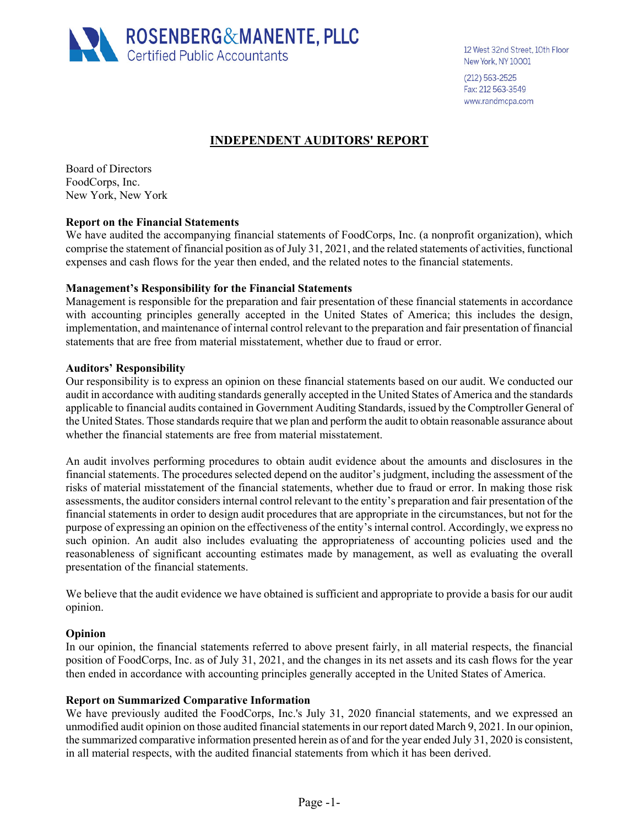

12 West 32nd Street, 10th Floor New York, NY 10001

(212) 563-2525 Fax: 212 563-3549 www.randmcpa.com

## **INDEPENDENT AUDITORS' REPORT**

Board of Directors FoodCorps, Inc. New York, New York

#### **Report on the Financial Statements**

We have audited the accompanying financial statements of FoodCorps, Inc. (a nonprofit organization), which comprise the statement of financial position as of July 31, 2021, and the related statements of activities, functional expenses and cash flows for the year then ended, and the related notes to the financial statements.

#### **Management's Responsibility for the Financial Statements**

Management is responsible for the preparation and fair presentation of these financial statements in accordance with accounting principles generally accepted in the United States of America; this includes the design, implementation, and maintenance of internal control relevant to the preparation and fair presentation of financial statements that are free from material misstatement, whether due to fraud or error.

#### **Auditors' Responsibility**

Our responsibility is to express an opinion on these financial statements based on our audit. We conducted our audit in accordance with auditing standards generally accepted in the United States of America and the standards applicable to financial audits contained in Government Auditing Standards, issued by the Comptroller General of the United States. Those standards require that we plan and perform the audit to obtain reasonable assurance about whether the financial statements are free from material misstatement.

An audit involves performing procedures to obtain audit evidence about the amounts and disclosures in the financial statements. The procedures selected depend on the auditor's judgment, including the assessment of the risks of material misstatement of the financial statements, whether due to fraud or error. In making those risk assessments, the auditor considers internal control relevant to the entity's preparation and fair presentation of the financial statements in order to design audit procedures that are appropriate in the circumstances, but not for the purpose of expressing an opinion on the effectiveness of the entity's internal control. Accordingly, we express no such opinion. An audit also includes evaluating the appropriateness of accounting policies used and the reasonableness of significant accounting estimates made by management, as well as evaluating the overall presentation of the financial statements.

We believe that the audit evidence we have obtained is sufficient and appropriate to provide a basis for our audit opinion.

#### **Opinion**

In our opinion, the financial statements referred to above present fairly, in all material respects, the financial position of FoodCorps, Inc. as of July 31, 2021, and the changes in its net assets and its cash flows for the year then ended in accordance with accounting principles generally accepted in the United States of America.

#### **Report on Summarized Comparative Information**

We have previously audited the FoodCorps, Inc.'s July 31, 2020 financial statements, and we expressed an unmodified audit opinion on those audited financial statements in our report dated March 9, 2021. In our opinion, the summarized comparative information presented herein as of and for the year ended July 31, 2020 is consistent, in all material respects, with the audited financial statements from which it has been derived.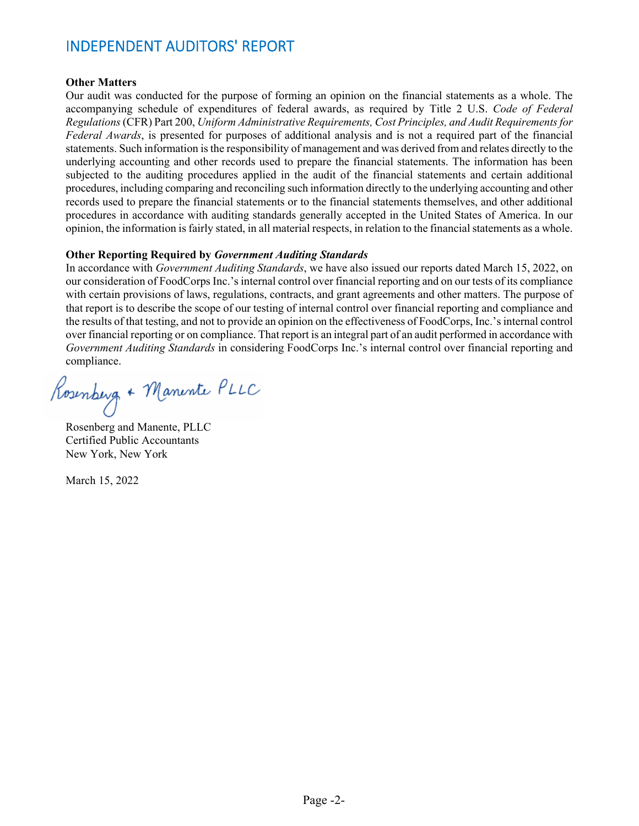# INDEPENDENT AUDITORS' REPORT

#### **Other Matters**

Our audit was conducted for the purpose of forming an opinion on the financial statements as a whole. The accompanying schedule of expenditures of federal awards, as required by Title 2 U.S. *Code of Federal Regulations* (CFR) Part 200, *Uniform Administrative Requirements, Cost Principles, and Audit Requirements for Federal Awards*, is presented for purposes of additional analysis and is not a required part of the financial statements. Such information is the responsibility of management and was derived from and relates directly to the underlying accounting and other records used to prepare the financial statements. The information has been subjected to the auditing procedures applied in the audit of the financial statements and certain additional procedures, including comparing and reconciling such information directly to the underlying accounting and other records used to prepare the financial statements or to the financial statements themselves, and other additional procedures in accordance with auditing standards generally accepted in the United States of America. In our opinion, the information is fairly stated, in all material respects, in relation to the financial statements as a whole.

#### **Other Reporting Required by** *Government Auditing Standards*

In accordance with *Government Auditing Standards*, we have also issued our reports dated March 15, 2022, on our consideration of FoodCorps Inc.'s internal control over financial reporting and on our tests of its compliance with certain provisions of laws, regulations, contracts, and grant agreements and other matters. The purpose of that report is to describe the scope of our testing of internal control over financial reporting and compliance and the results of that testing, and not to provide an opinion on the effectiveness of FoodCorps, Inc.'s internal control over financial reporting or on compliance. That report is an integral part of an audit performed in accordance with *Government Auditing Standards* in considering FoodCorps Inc.'s internal control over financial reporting and compliance.

Rosenberg + Manente PLLC

Rosenberg and Manente, PLLC Certified Public Accountants New York, New York

March 15, 2022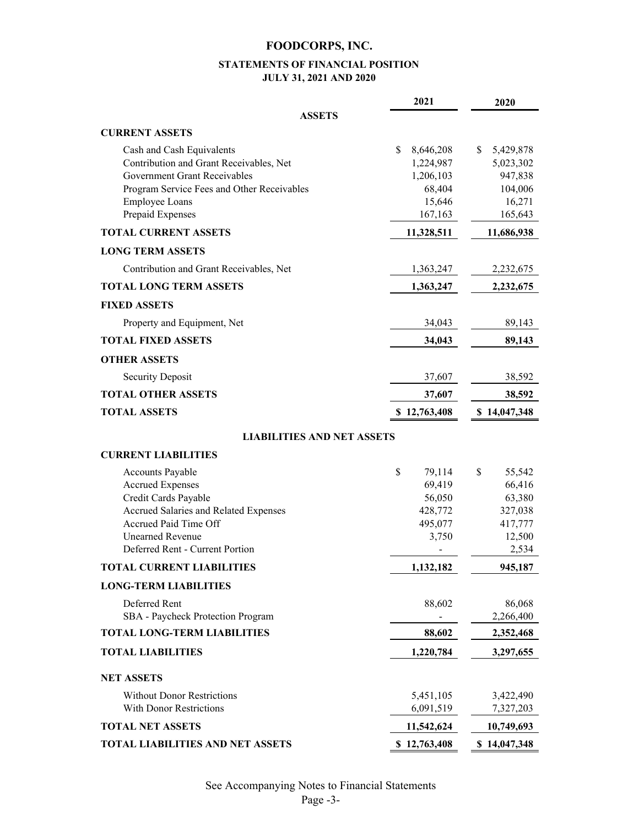#### **STATEMENTS OF FINANCIAL POSITION JULY 31, 2021 AND 2020**

|                                                                                                                                                                                                        | 2021                                                                     | 2020                                                                    |
|--------------------------------------------------------------------------------------------------------------------------------------------------------------------------------------------------------|--------------------------------------------------------------------------|-------------------------------------------------------------------------|
| <b>ASSETS</b>                                                                                                                                                                                          |                                                                          |                                                                         |
| <b>CURRENT ASSETS</b>                                                                                                                                                                                  |                                                                          |                                                                         |
| Cash and Cash Equivalents<br>Contribution and Grant Receivables, Net<br><b>Government Grant Receivables</b><br>Program Service Fees and Other Receivables<br><b>Employee Loans</b><br>Prepaid Expenses | \$<br>8,646,208<br>1,224,987<br>1,206,103<br>68,404<br>15,646<br>167,163 | 5,429,878<br>S.<br>5,023,302<br>947,838<br>104,006<br>16,271<br>165,643 |
| <b>TOTAL CURRENT ASSETS</b>                                                                                                                                                                            | 11,328,511                                                               | 11,686,938                                                              |
| <b>LONG TERM ASSETS</b>                                                                                                                                                                                |                                                                          |                                                                         |
| Contribution and Grant Receivables, Net                                                                                                                                                                | 1,363,247                                                                | 2,232,675                                                               |
| <b>TOTAL LONG TERM ASSETS</b>                                                                                                                                                                          | 1,363,247                                                                | 2,232,675                                                               |
| <b>FIXED ASSETS</b>                                                                                                                                                                                    |                                                                          |                                                                         |
| Property and Equipment, Net                                                                                                                                                                            | 34,043                                                                   | 89,143                                                                  |
| <b>TOTAL FIXED ASSETS</b>                                                                                                                                                                              | 34,043                                                                   | 89,143                                                                  |
| <b>OTHER ASSETS</b>                                                                                                                                                                                    |                                                                          |                                                                         |
| <b>Security Deposit</b>                                                                                                                                                                                | 37,607                                                                   | 38,592                                                                  |
| <b>TOTAL OTHER ASSETS</b>                                                                                                                                                                              | 37,607                                                                   | 38,592                                                                  |
| <b>TOTAL ASSETS</b>                                                                                                                                                                                    | \$12,763,408                                                             | \$14,047,348                                                            |
|                                                                                                                                                                                                        |                                                                          |                                                                         |
| <b>LIABILITIES AND NET ASSETS</b><br><b>CURRENT LIABILITIES</b>                                                                                                                                        |                                                                          |                                                                         |
|                                                                                                                                                                                                        |                                                                          |                                                                         |
| Accounts Payable<br><b>Accrued Expenses</b>                                                                                                                                                            | \$<br>79,114<br>69,419                                                   | \$<br>55,542<br>66,416                                                  |
| Credit Cards Payable                                                                                                                                                                                   | 56,050                                                                   | 63,380                                                                  |
| Accrued Salaries and Related Expenses                                                                                                                                                                  | 428,772                                                                  | 327,038                                                                 |
| Accrued Paid Time Off                                                                                                                                                                                  | 495,077                                                                  | 417,777                                                                 |
| <b>Unearned Revenue</b>                                                                                                                                                                                | 3,750                                                                    | 12,500                                                                  |
| Deferred Rent - Current Portion                                                                                                                                                                        |                                                                          | 2,534                                                                   |
| TOTAL CURRENT LIABILITIES                                                                                                                                                                              | 1,132,182                                                                | 945,187                                                                 |
| <b>LONG-TERM LIABILITIES</b>                                                                                                                                                                           |                                                                          |                                                                         |
| Deferred Rent                                                                                                                                                                                          | 88,602                                                                   | 86,068                                                                  |
| SBA - Paycheck Protection Program                                                                                                                                                                      |                                                                          | 2,266,400                                                               |
| <b>TOTAL LONG-TERM LIABILITIES</b>                                                                                                                                                                     | 88,602                                                                   | 2,352,468                                                               |
| <b>TOTAL LIABILITIES</b>                                                                                                                                                                               | 1,220,784                                                                | 3,297,655                                                               |
| <b>NET ASSETS</b>                                                                                                                                                                                      |                                                                          |                                                                         |
|                                                                                                                                                                                                        |                                                                          |                                                                         |
| <b>Without Donor Restrictions</b><br><b>With Donor Restrictions</b>                                                                                                                                    | 5,451,105                                                                | 3,422,490                                                               |
| <b>TOTAL NET ASSETS</b>                                                                                                                                                                                | 6,091,519                                                                | 7,327,203                                                               |
|                                                                                                                                                                                                        | 11,542,624                                                               | 10,749,693                                                              |
| <b>TOTAL LIABILITIES AND NET ASSETS</b>                                                                                                                                                                | \$12,763,408                                                             | \$14,047,348                                                            |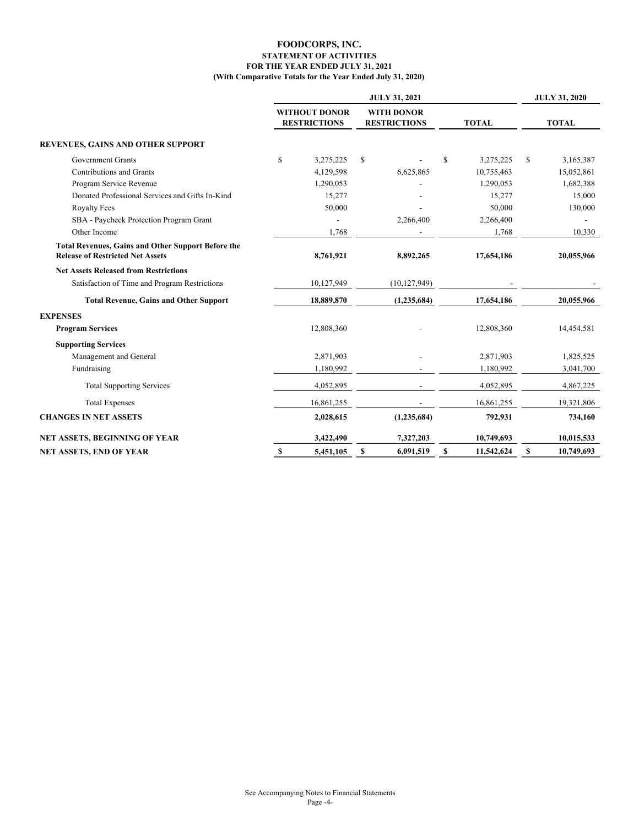#### **FOR THE YEAR ENDED JULY 31, 2021 STATEMENT OF ACTIVITIES FOODCORPS, INC. (With Comparative Totals for the Year Ended July 31, 2020)**

|                                                                                                      | <b>JULY 31, 2021</b> |                                                                                         |    | <b>JULY 31, 2020</b> |              |            |              |            |
|------------------------------------------------------------------------------------------------------|----------------------|-----------------------------------------------------------------------------------------|----|----------------------|--------------|------------|--------------|------------|
|                                                                                                      |                      | <b>WITHOUT DONOR</b><br><b>WITH DONOR</b><br><b>RESTRICTIONS</b><br><b>RESTRICTIONS</b> |    |                      | <b>TOTAL</b> |            | <b>TOTAL</b> |            |
| REVENUES, GAINS AND OTHER SUPPORT                                                                    |                      |                                                                                         |    |                      |              |            |              |            |
| <b>Government Grants</b>                                                                             | \$                   | 3,275,225                                                                               | \$ |                      | \$           | 3,275,225  | \$           | 3,165,387  |
| Contributions and Grants                                                                             |                      | 4,129,598                                                                               |    | 6,625,865            |              | 10,755,463 |              | 15,052,861 |
| Program Service Revenue                                                                              |                      | 1,290,053                                                                               |    |                      |              | 1,290,053  |              | 1,682,388  |
| Donated Professional Services and Gifts In-Kind                                                      |                      | 15,277                                                                                  |    |                      |              | 15,277     |              | 15,000     |
| <b>Royalty Fees</b>                                                                                  |                      | 50,000                                                                                  |    |                      |              | 50,000     |              | 130,000    |
| SBA - Paycheck Protection Program Grant                                                              |                      |                                                                                         |    | 2,266,400            |              | 2,266,400  |              |            |
| Other Income                                                                                         |                      | 1,768                                                                                   |    |                      |              | 1,768      |              | 10,330     |
| <b>Total Revenues, Gains and Other Support Before the</b><br><b>Release of Restricted Net Assets</b> |                      | 8,761,921                                                                               |    | 8,892,265            |              | 17,654,186 |              | 20,055,966 |
| <b>Net Assets Released from Restrictions</b>                                                         |                      |                                                                                         |    |                      |              |            |              |            |
| Satisfaction of Time and Program Restrictions                                                        |                      | 10,127,949                                                                              |    | (10, 127, 949)       |              |            |              |            |
| <b>Total Revenue, Gains and Other Support</b>                                                        |                      | 18,889,870                                                                              |    | (1, 235, 684)        |              | 17,654,186 |              | 20,055,966 |
| <b>EXPENSES</b>                                                                                      |                      |                                                                                         |    |                      |              |            |              |            |
| <b>Program Services</b>                                                                              |                      | 12,808,360                                                                              |    |                      |              | 12,808,360 |              | 14,454,581 |
| <b>Supporting Services</b>                                                                           |                      |                                                                                         |    |                      |              |            |              |            |
| Management and General                                                                               |                      | 2,871,903                                                                               |    |                      |              | 2,871,903  |              | 1,825,525  |
| Fundraising                                                                                          |                      | 1,180,992                                                                               |    |                      |              | 1,180,992  |              | 3,041,700  |
| <b>Total Supporting Services</b>                                                                     |                      | 4,052,895                                                                               |    |                      |              | 4,052,895  |              | 4,867,225  |
| <b>Total Expenses</b>                                                                                |                      | 16,861,255                                                                              |    |                      |              | 16,861,255 |              | 19,321,806 |
| <b>CHANGES IN NET ASSETS</b>                                                                         |                      | 2,028,615                                                                               |    | (1,235,684)          |              | 792,931    |              | 734,160    |
| NET ASSETS, BEGINNING OF YEAR                                                                        |                      | 3,422,490                                                                               |    | 7,327,203            |              | 10,749,693 |              | 10,015,533 |
| <b>NET ASSETS, END OF YEAR</b>                                                                       | S                    | 5,451,105                                                                               | \$ | 6,091,519            | S            | 11,542,624 | S            | 10,749,693 |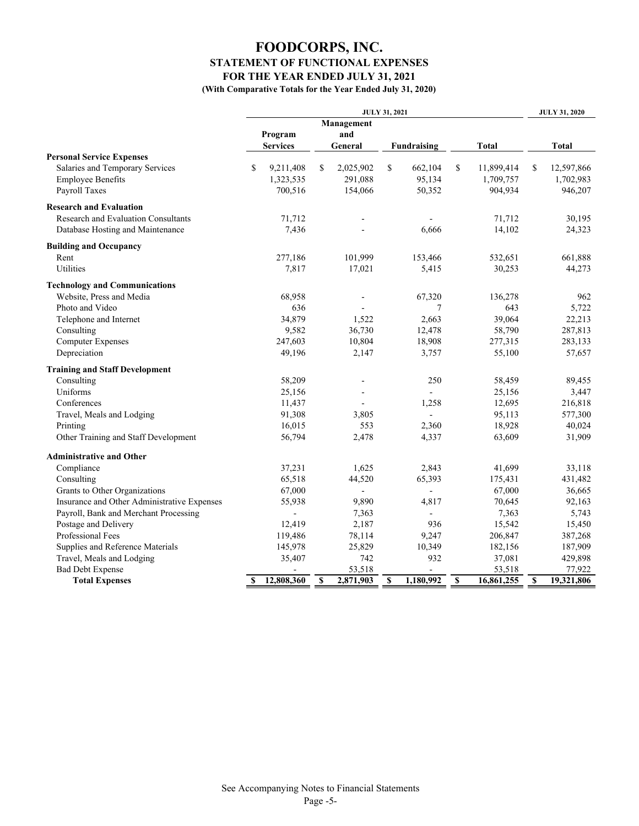# **FOODCORPS, INC. FOR THE YEAR ENDED JULY 31, 2021 STATEMENT OF FUNCTIONAL EXPENSES**

**(With Comparative Totals for the Year Ended July 31, 2020)**

|                                                                  |                 |                          | <b>JULY 31, 2021</b> |                  | <b>JULY 31, 2020</b> |
|------------------------------------------------------------------|-----------------|--------------------------|----------------------|------------------|----------------------|
|                                                                  |                 | Management               |                      |                  |                      |
|                                                                  | Program         | and                      |                      |                  |                      |
|                                                                  | <b>Services</b> | General                  | Fundraising          | <b>Total</b>     | <b>Total</b>         |
| <b>Personal Service Expenses</b>                                 |                 |                          |                      |                  |                      |
| Salaries and Temporary Services                                  | \$<br>9,211,408 | S<br>2,025,902           | S<br>662,104         | \$<br>11,899,414 | \$<br>12,597,866     |
| <b>Employee Benefits</b>                                         | 1,323,535       | 291,088                  | 95,134               | 1,709,757        | 1,702,983            |
| Payroll Taxes                                                    | 700,516         | 154,066                  | 50,352               | 904,934          | 946,207              |
| <b>Research and Evaluation</b>                                   |                 |                          |                      |                  |                      |
| Research and Evaluation Consultants                              | 71,712          |                          |                      | 71,712           | 30,195               |
| Database Hosting and Maintenance                                 | 7,436           |                          | 6,666                | 14,102           | 24,323               |
| <b>Building and Occupancy</b>                                    |                 |                          |                      |                  |                      |
| Rent                                                             | 277,186         | 101,999                  | 153,466              | 532,651          | 661,888              |
| <b>Utilities</b>                                                 | 7,817           | 17,021                   | 5,415                | 30,253           | 44,273               |
|                                                                  |                 |                          |                      |                  |                      |
| <b>Technology and Communications</b><br>Website, Press and Media |                 | ÷,                       |                      |                  | 962                  |
| Photo and Video                                                  | 68,958          |                          | 67,320               | 136,278          |                      |
|                                                                  | 636             |                          | 7                    | 643<br>39,064    | 5,722                |
| Telephone and Internet<br>Consulting                             | 34,879<br>9,582 | 1,522<br>36,730          | 2,663<br>12,478      | 58,790           | 22,213<br>287,813    |
|                                                                  |                 | 10,804                   | 18,908               | 277,315          | 283,133              |
| <b>Computer Expenses</b><br>Depreciation                         | 247,603         |                          |                      |                  |                      |
|                                                                  | 49,196          | 2,147                    | 3,757                | 55,100           | 57,657               |
| <b>Training and Staff Development</b>                            |                 |                          |                      |                  |                      |
| Consulting                                                       | 58,209          | $\overline{\phantom{a}}$ | 250                  | 58,459           | 89,455               |
| Uniforms                                                         | 25,156          |                          |                      | 25,156           | 3,447                |
| Conferences                                                      | 11,437          |                          | 1,258                | 12,695           | 216,818              |
| Travel, Meals and Lodging                                        | 91,308          | 3,805                    | $\overline{a}$       | 95,113           | 577,300              |
| Printing                                                         | 16,015          | 553                      | 2,360                | 18,928           | 40,024               |
| Other Training and Staff Development                             | 56,794          | 2,478                    | 4,337                | 63,609           | 31,909               |
| <b>Administrative and Other</b>                                  |                 |                          |                      |                  |                      |
| Compliance                                                       | 37,231          | 1,625                    | 2,843                | 41,699           | 33,118               |
| Consulting                                                       | 65,518          | 44,520                   | 65,393               | 175,431          | 431,482              |
| Grants to Other Organizations                                    | 67,000          | $\overline{a}$           |                      | 67,000           | 36,665               |
| Insurance and Other Administrative Expenses                      | 55,938          | 9,890                    | 4,817                | 70,645           | 92,163               |
| Payroll, Bank and Merchant Processing                            |                 | 7,363                    | $\overline{a}$       | 7,363            | 5,743                |
| Postage and Delivery                                             | 12,419          | 2,187                    | 936                  | 15,542           | 15,450               |
| Professional Fees                                                | 119,486         | 78,114                   | 9,247                | 206,847          | 387,268              |
| Supplies and Reference Materials                                 | 145,978         | 25,829                   | 10,349               | 182,156          | 187,909              |
| Travel, Meals and Lodging                                        | 35,407          | 742                      | 932                  | 37,081           | 429,898              |
| <b>Bad Debt Expense</b>                                          |                 | 53,518                   |                      | 53,518           | 77,922               |
| <b>Total Expenses</b>                                            | 12,808,360<br>S | \$<br>2,871,903          | 1,180,992<br>\$      | \$<br>16,861,255 | \$<br>19,321,806     |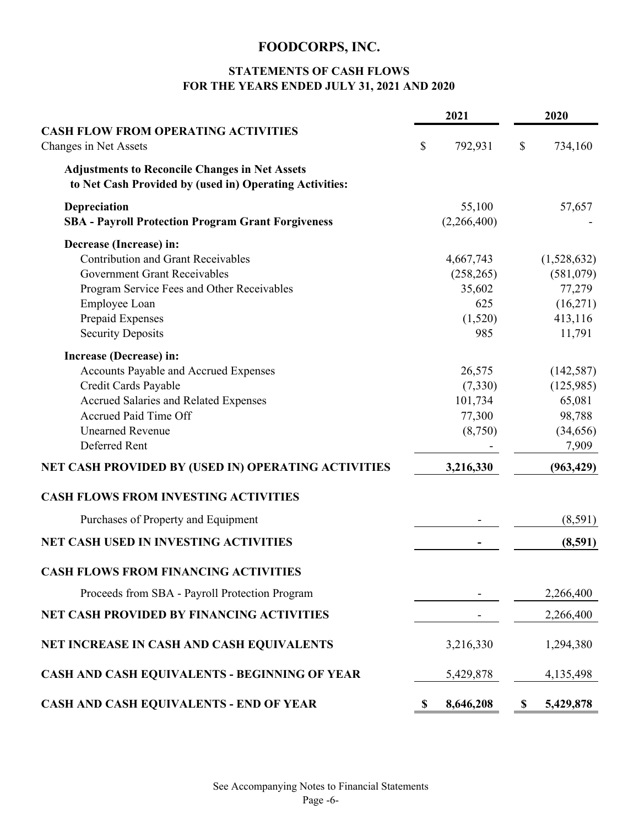## **STATEMENTS OF CASH FLOWS FOR THE YEARS ENDED JULY 31, 2021 AND 2020**

|                                                                     | 2021            | 2020            |
|---------------------------------------------------------------------|-----------------|-----------------|
| <b>CASH FLOW FROM OPERATING ACTIVITIES</b><br>Changes in Net Assets | \$<br>792,931   | \$<br>734,160   |
| <b>Adjustments to Reconcile Changes in Net Assets</b>               |                 |                 |
| to Net Cash Provided by (used in) Operating Activities:             |                 |                 |
| Depreciation                                                        | 55,100          | 57,657          |
| <b>SBA - Payroll Protection Program Grant Forgiveness</b>           | (2,266,400)     |                 |
| Decrease (Increase) in:                                             |                 |                 |
| <b>Contribution and Grant Receivables</b>                           | 4,667,743       | (1,528,632)     |
| <b>Government Grant Receivables</b>                                 | (258, 265)      | (581,079)       |
| Program Service Fees and Other Receivables                          | 35,602          | 77,279          |
| Employee Loan                                                       | 625             | (16,271)        |
| Prepaid Expenses                                                    | (1,520)         | 413,116         |
| <b>Security Deposits</b>                                            | 985             | 11,791          |
| Increase (Decrease) in:                                             |                 |                 |
| Accounts Payable and Accrued Expenses                               | 26,575          | (142, 587)      |
| Credit Cards Payable                                                | (7, 330)        | (125,985)       |
| Accrued Salaries and Related Expenses                               | 101,734         | 65,081          |
| <b>Accrued Paid Time Off</b>                                        | 77,300          | 98,788          |
| <b>Unearned Revenue</b>                                             | (8,750)         | (34, 656)       |
| Deferred Rent                                                       |                 | 7,909           |
| NET CASH PROVIDED BY (USED IN) OPERATING ACTIVITIES                 | 3,216,330       | (963, 429)      |
| <b>CASH FLOWS FROM INVESTING ACTIVITIES</b>                         |                 |                 |
| Purchases of Property and Equipment                                 |                 | (8,591)         |
| <b>NET CASH USED IN INVESTING ACTIVITIES</b>                        |                 | (8,591)         |
| <b>CASH FLOWS FROM FINANCING ACTIVITIES</b>                         |                 |                 |
| Proceeds from SBA - Payroll Protection Program                      |                 | 2,266,400       |
| NET CASH PROVIDED BY FINANCING ACTIVITIES                           |                 | 2,266,400       |
| NET INCREASE IN CASH AND CASH EQUIVALENTS                           | 3,216,330       | 1,294,380       |
| CASH AND CASH EQUIVALENTS - BEGINNING OF YEAR                       | 5,429,878       | 4,135,498       |
| CASH AND CASH EQUIVALENTS - END OF YEAR                             | \$<br>8,646,208 | \$<br>5,429,878 |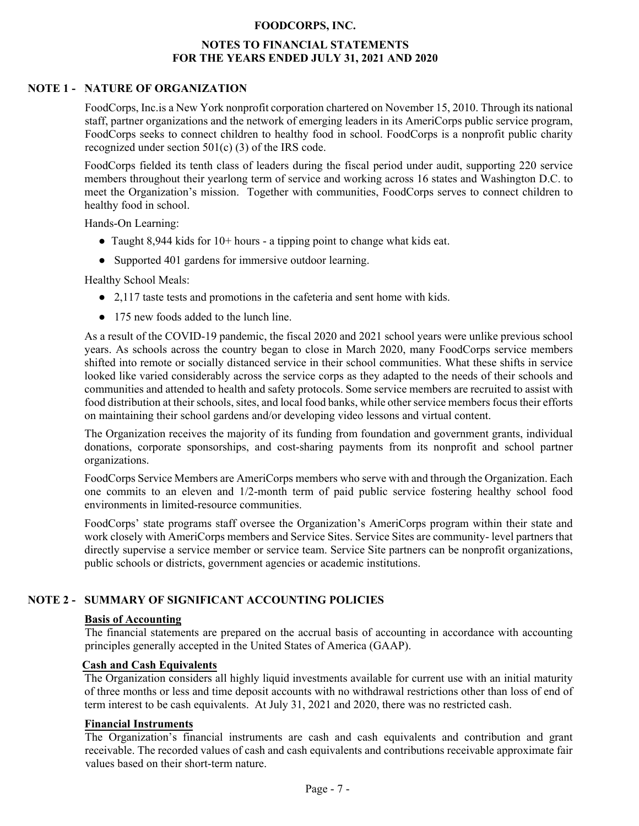#### **NOTES TO FINANCIAL STATEMENTS FOR THE YEARS ENDED JULY 31, 2021 AND 2020**

#### **NOTE 1 - NATURE OF ORGANIZATION**

FoodCorps, Inc.is a New York nonprofit corporation chartered on November 15, 2010. Through its national staff, partner organizations and the network of emerging leaders in its AmeriCorps public service program, FoodCorps seeks to connect children to healthy food in school. FoodCorps is a nonprofit public charity recognized under section  $501(c)$  (3) of the IRS code.

FoodCorps fielded its tenth class of leaders during the fiscal period under audit, supporting 220 service members throughout their yearlong term of service and working across 16 states and Washington D.C. to meet the Organization's mission. Together with communities, FoodCorps serves to connect children to healthy food in school.

Hands-On Learning:

- Taught 8,944 kids for 10+ hours a tipping point to change what kids eat.
- Supported 401 gardens for immersive outdoor learning.

Healthy School Meals:

- 2,117 taste tests and promotions in the cafeteria and sent home with kids.
- 175 new foods added to the lunch line.

As a result of the COVID-19 pandemic, the fiscal 2020 and 2021 school years were unlike previous school years. As schools across the country began to close in March 2020, many FoodCorps service members shifted into remote or socially distanced service in their school communities. What these shifts in service looked like varied considerably across the service corps as they adapted to the needs of their schools and communities and attended to health and safety protocols. Some service members are recruited to assist with food distribution at their schools, sites, and local food banks, while other service members focus their efforts on maintaining their school gardens and/or developing video lessons and virtual content.

The Organization receives the majority of its funding from foundation and government grants, individual donations, corporate sponsorships, and cost-sharing payments from its nonprofit and school partner organizations.

FoodCorps Service Members are AmeriCorps members who serve with and through the Organization. Each one commits to an eleven and 1/2-month term of paid public service fostering healthy school food environments in limited-resource communities.

FoodCorps' state programs staff oversee the Organization's AmeriCorps program within their state and work closely with AmeriCorps members and Service Sites. Service Sites are community- level partners that directly supervise a service member or service team. Service Site partners can be nonprofit organizations, public schools or districts, government agencies or academic institutions.

#### **NOTE 2 - SUMMARY OF SIGNIFICANT ACCOUNTING POLICIES**

#### **Basis of Accounting**

The financial statements are prepared on the accrual basis of accounting in accordance with accounting principles generally accepted in the United States of America (GAAP).

#### **Cash and Cash Equivalents**

The Organization considers all highly liquid investments available for current use with an initial maturity of three months or less and time deposit accounts with no withdrawal restrictions other than loss of end of term interest to be cash equivalents. At July 31, 2021 and 2020, there was no restricted cash.

#### **Financial Instruments**

The Organization's financial instruments are cash and cash equivalents and contribution and grant receivable. The recorded values of cash and cash equivalents and contributions receivable approximate fair values based on their short-term nature.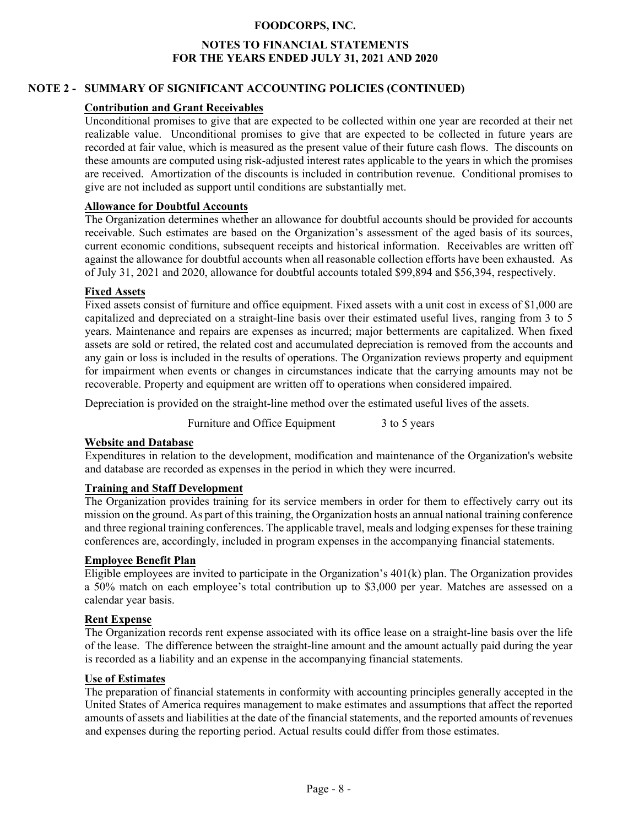#### **NOTES TO FINANCIAL STATEMENTS FOR THE YEARS ENDED JULY 31, 2021 AND 2020**

#### **NOTE 2 - SUMMARY OF SIGNIFICANT ACCOUNTING POLICIES (CONTINUED)**

#### **Contribution and Grant Receivables**

Unconditional promises to give that are expected to be collected within one year are recorded at their net realizable value. Unconditional promises to give that are expected to be collected in future years are recorded at fair value, which is measured as the present value of their future cash flows. The discounts on these amounts are computed using risk-adjusted interest rates applicable to the years in which the promises are received. Amortization of the discounts is included in contribution revenue. Conditional promises to give are not included as support until conditions are substantially met.

#### **Allowance for Doubtful Accounts**

The Organization determines whether an allowance for doubtful accounts should be provided for accounts receivable. Such estimates are based on the Organization's assessment of the aged basis of its sources, current economic conditions, subsequent receipts and historical information. Receivables are written off against the allowance for doubtful accounts when all reasonable collection efforts have been exhausted. As of July 31, 2021 and 2020, allowance for doubtful accounts totaled \$99,894 and \$56,394, respectively.

#### **Fixed Assets**

Fixed assets consist of furniture and office equipment. Fixed assets with a unit cost in excess of \$1,000 are capitalized and depreciated on a straight-line basis over their estimated useful lives, ranging from 3 to 5 years. Maintenance and repairs are expenses as incurred; major betterments are capitalized. When fixed assets are sold or retired, the related cost and accumulated depreciation is removed from the accounts and any gain or loss is included in the results of operations. The Organization reviews property and equipment for impairment when events or changes in circumstances indicate that the carrying amounts may not be recoverable. Property and equipment are written off to operations when considered impaired.

Depreciation is provided on the straight-line method over the estimated useful lives of the assets.

Furniture and Office Equipment 3 to 5 years

#### **Website and Database**

Expenditures in relation to the development, modification and maintenance of the Organization's website and database are recorded as expenses in the period in which they were incurred.

#### **Training and Staff Development**

The Organization provides training for its service members in order for them to effectively carry out its mission on the ground. As part of this training, the Organization hosts an annual national training conference and three regional training conferences. The applicable travel, meals and lodging expenses for these training conferences are, accordingly, included in program expenses in the accompanying financial statements.

#### **Employee Benefit Plan**

Eligible employees are invited to participate in the Organization's 401(k) plan. The Organization provides a 50% match on each employee's total contribution up to \$3,000 per year. Matches are assessed on a calendar year basis.

#### **Rent Expense**

The Organization records rent expense associated with its office lease on a straight-line basis over the life of the lease. The difference between the straight-line amount and the amount actually paid during the year is recorded as a liability and an expense in the accompanying financial statements.

#### **Use of Estimates**

The preparation of financial statements in conformity with accounting principles generally accepted in the United States of America requires management to make estimates and assumptions that affect the reported amounts of assets and liabilities at the date of the financial statements, and the reported amounts of revenues and expenses during the reporting period. Actual results could differ from those estimates.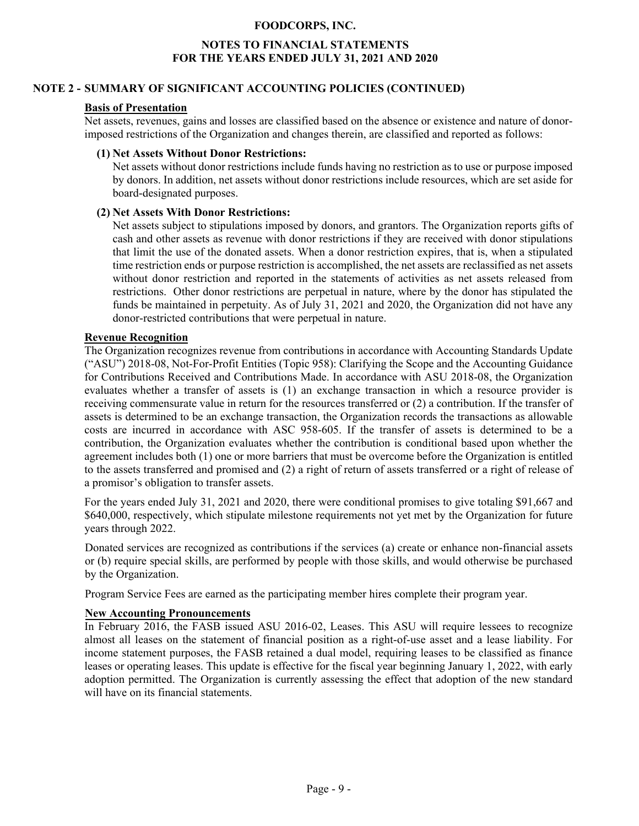#### **NOTES TO FINANCIAL STATEMENTS FOR THE YEARS ENDED JULY 31, 2021 AND 2020**

#### **NOTE 2 - SUMMARY OF SIGNIFICANT ACCOUNTING POLICIES (CONTINUED)**

#### **Basis of Presentation**

Net assets, revenues, gains and losses are classified based on the absence or existence and nature of donorimposed restrictions of the Organization and changes therein, are classified and reported as follows:

#### **(1) Net Assets Without Donor Restrictions:**

Net assets without donor restrictions include funds having no restriction as to use or purpose imposed by donors. In addition, net assets without donor restrictions include resources, which are set aside for board-designated purposes.

#### **(2) Net Assets With Donor Restrictions:**

Net assets subject to stipulations imposed by donors, and grantors. The Organization reports gifts of cash and other assets as revenue with donor restrictions if they are received with donor stipulations that limit the use of the donated assets. When a donor restriction expires, that is, when a stipulated time restriction ends or purpose restriction is accomplished, the net assets are reclassified as net assets without donor restriction and reported in the statements of activities as net assets released from restrictions. Other donor restrictions are perpetual in nature, where by the donor has stipulated the funds be maintained in perpetuity. As of July 31, 2021 and 2020, the Organization did not have any donor-restricted contributions that were perpetual in nature.

#### **Revenue Recognition**

The Organization recognizes revenue from contributions in accordance with Accounting Standards Update ("ASU") 2018-08, Not-For-Profit Entities (Topic 958): Clarifying the Scope and the Accounting Guidance for Contributions Received and Contributions Made. In accordance with ASU 2018-08, the Organization evaluates whether a transfer of assets is (1) an exchange transaction in which a resource provider is receiving commensurate value in return for the resources transferred or (2) a contribution. If the transfer of assets is determined to be an exchange transaction, the Organization records the transactions as allowable costs are incurred in accordance with ASC 958-605. If the transfer of assets is determined to be a contribution, the Organization evaluates whether the contribution is conditional based upon whether the agreement includes both (1) one or more barriers that must be overcome before the Organization is entitled to the assets transferred and promised and (2) a right of return of assets transferred or a right of release of a promisor's obligation to transfer assets.

For the years ended July 31, 2021 and 2020, there were conditional promises to give totaling \$91,667 and \$640,000, respectively, which stipulate milestone requirements not yet met by the Organization for future years through 2022.

Donated services are recognized as contributions if the services (a) create or enhance non-financial assets or (b) require special skills, are performed by people with those skills, and would otherwise be purchased by the Organization.

Program Service Fees are earned as the participating member hires complete their program year.

#### **New Accounting Pronouncements**

In February 2016, the FASB issued ASU 2016-02, Leases. This ASU will require lessees to recognize almost all leases on the statement of financial position as a right-of-use asset and a lease liability. For income statement purposes, the FASB retained a dual model, requiring leases to be classified as finance leases or operating leases. This update is effective for the fiscal year beginning January 1, 2022, with early adoption permitted. The Organization is currently assessing the effect that adoption of the new standard will have on its financial statements.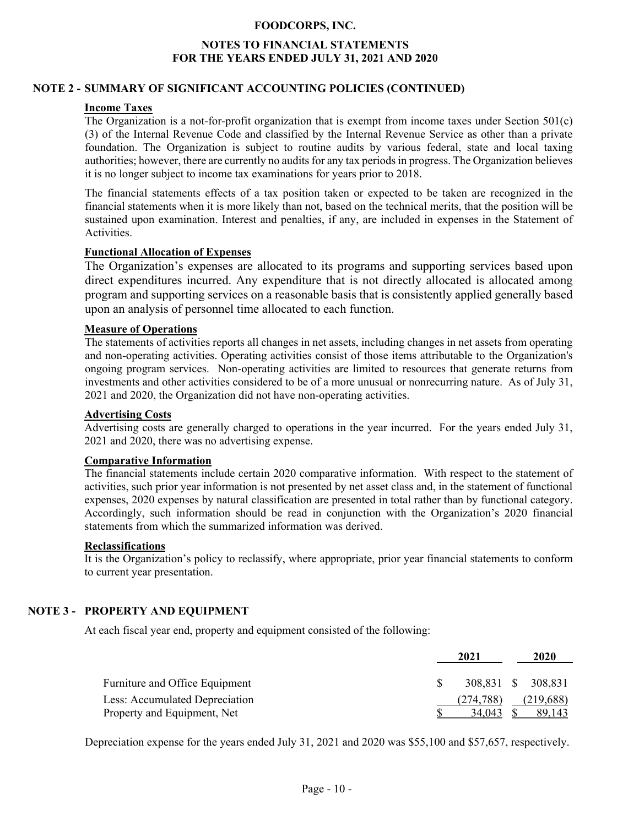#### **NOTES TO FINANCIAL STATEMENTS FOR THE YEARS ENDED JULY 31, 2021 AND 2020**

#### **NOTE 2 - SUMMARY OF SIGNIFICANT ACCOUNTING POLICIES (CONTINUED)**

#### **Income Taxes**

The Organization is a not-for-profit organization that is exempt from income taxes under Section 501(c) (3) of the Internal Revenue Code and classified by the Internal Revenue Service as other than a private foundation. The Organization is subject to routine audits by various federal, state and local taxing authorities; however, there are currently no audits for any tax periods in progress. The Organization believes it is no longer subject to income tax examinations for years prior to 2018.

The financial statements effects of a tax position taken or expected to be taken are recognized in the financial statements when it is more likely than not, based on the technical merits, that the position will be sustained upon examination. Interest and penalties, if any, are included in expenses in the Statement of Activities.

#### **Functional Allocation of Expenses**

The Organization's expenses are allocated to its programs and supporting services based upon direct expenditures incurred. Any expenditure that is not directly allocated is allocated among program and supporting services on a reasonable basis that is consistently applied generally based upon an analysis of personnel time allocated to each function.

#### **Measure of Operations**

The statements of activities reports all changes in net assets, including changes in net assets from operating and non-operating activities. Operating activities consist of those items attributable to the Organization's ongoing program services. Non-operating activities are limited to resources that generate returns from investments and other activities considered to be of a more unusual or nonrecurring nature. As of July 31, 2021 and 2020, the Organization did not have non-operating activities.

#### **Advertising Costs**

Advertising costs are generally charged to operations in the year incurred. For the years ended July 31, 2021 and 2020, there was no advertising expense.

#### **Comparative Information**

The financial statements include certain 2020 comparative information. With respect to the statement of activities, such prior year information is not presented by net asset class and, in the statement of functional expenses, 2020 expenses by natural classification are presented in total rather than by functional category. Accordingly, such information should be read in conjunction with the Organization's 2020 financial statements from which the summarized information was derived.

#### **Reclassifications**

It is the Organization's policy to reclassify, where appropriate, prior year financial statements to conform to current year presentation.

#### **NOTE 3 - PROPERTY AND EQUIPMENT**

At each fiscal year end, property and equipment consisted of the following:

|                                | 2021 |            | 2020 |                    |
|--------------------------------|------|------------|------|--------------------|
|                                |      |            |      |                    |
| Furniture and Office Equipment |      |            |      | 308,831 \$ 308,831 |
| Less: Accumulated Depreciation |      | (274, 788) |      | (219,688)          |
| Property and Equipment, Net    |      | 34,043     |      | 89,143             |

Depreciation expense for the years ended July 31, 2021 and 2020 was \$55,100 and \$57,657, respectively.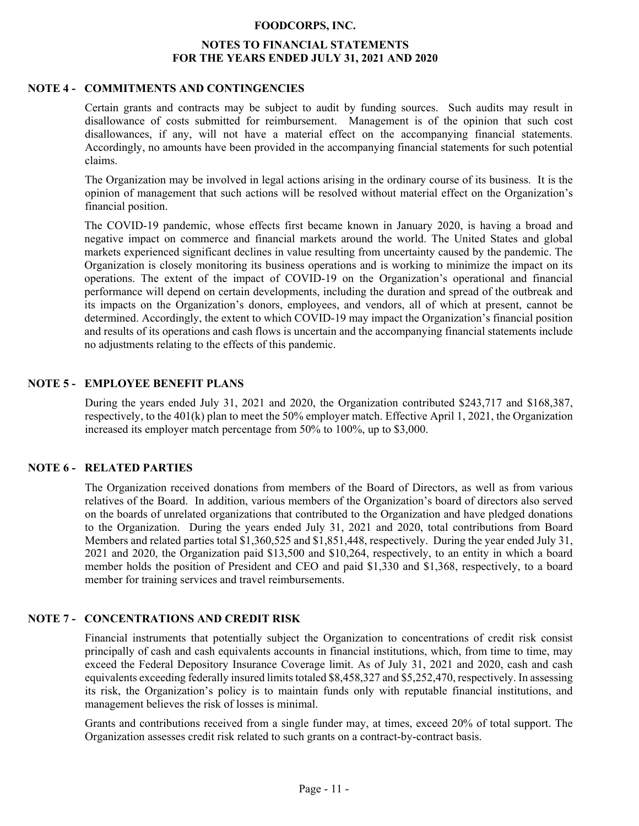#### **NOTES TO FINANCIAL STATEMENTS FOR THE YEARS ENDED JULY 31, 2021 AND 2020**

#### **NOTE 4 - COMMITMENTS AND CONTINGENCIES**

Certain grants and contracts may be subject to audit by funding sources. Such audits may result in disallowance of costs submitted for reimbursement. Management is of the opinion that such cost disallowances, if any, will not have a material effect on the accompanying financial statements. Accordingly, no amounts have been provided in the accompanying financial statements for such potential claims.

The Organization may be involved in legal actions arising in the ordinary course of its business. It is the opinion of management that such actions will be resolved without material effect on the Organization's financial position.

The COVID-19 pandemic, whose effects first became known in January 2020, is having a broad and negative impact on commerce and financial markets around the world. The United States and global markets experienced significant declines in value resulting from uncertainty caused by the pandemic. The Organization is closely monitoring its business operations and is working to minimize the impact on its operations. The extent of the impact of COVID-19 on the Organization's operational and financial performance will depend on certain developments, including the duration and spread of the outbreak and its impacts on the Organization's donors, employees, and vendors, all of which at present, cannot be determined. Accordingly, the extent to which COVID-19 may impact the Organization's financial position and results of its operations and cash flows is uncertain and the accompanying financial statements include no adjustments relating to the effects of this pandemic.

#### **NOTE 5 - EMPLOYEE BENEFIT PLANS**

During the years ended July 31, 2021 and 2020, the Organization contributed \$243,717 and \$168,387, respectively, to the 401(k) plan to meet the 50% employer match. Effective April 1, 2021, the Organization increased its employer match percentage from 50% to 100%, up to \$3,000.

#### **NOTE 6 - RELATED PARTIES**

The Organization received donations from members of the Board of Directors, as well as from various relatives of the Board. In addition, various members of the Organization's board of directors also served on the boards of unrelated organizations that contributed to the Organization and have pledged donations to the Organization. During the years ended July 31, 2021 and 2020, total contributions from Board Members and related parties total \$1,360,525 and \$1,851,448, respectively. During the year ended July 31, 2021 and 2020, the Organization paid \$13,500 and \$10,264, respectively, to an entity in which a board member holds the position of President and CEO and paid \$1,330 and \$1,368, respectively, to a board member for training services and travel reimbursements.

#### **NOTE 7 - CONCENTRATIONS AND CREDIT RISK**

Financial instruments that potentially subject the Organization to concentrations of credit risk consist principally of cash and cash equivalents accounts in financial institutions, which, from time to time, may exceed the Federal Depository Insurance Coverage limit. As of July 31, 2021 and 2020, cash and cash equivalents exceeding federally insured limits totaled \$8,458,327 and \$5,252,470, respectively. In assessing its risk, the Organization's policy is to maintain funds only with reputable financial institutions, and management believes the risk of losses is minimal.

Grants and contributions received from a single funder may, at times, exceed 20% of total support. The Organization assesses credit risk related to such grants on a contract-by-contract basis.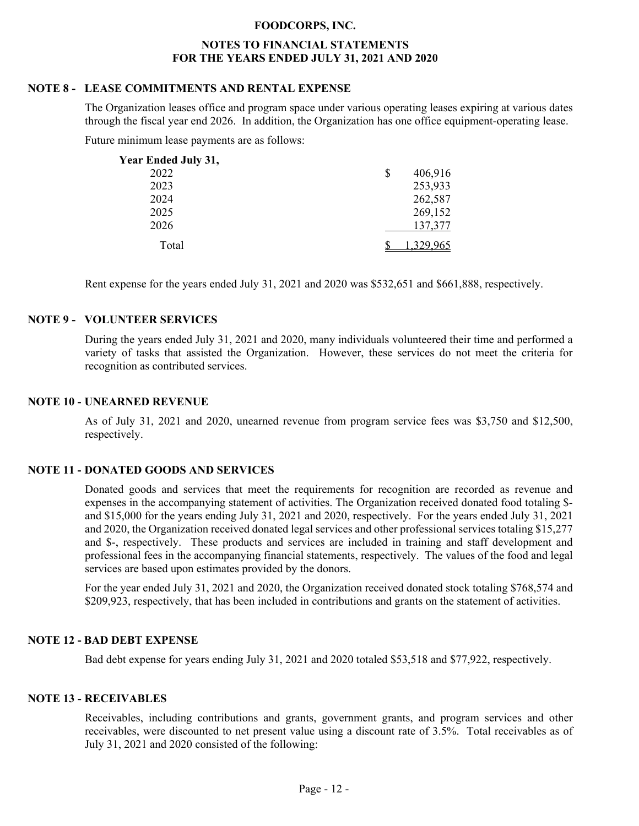#### **NOTES TO FINANCIAL STATEMENTS FOR THE YEARS ENDED JULY 31, 2021 AND 2020**

#### **NOTE 8 - LEASE COMMITMENTS AND RENTAL EXPENSE**

The Organization leases office and program space under various operating leases expiring at various dates through the fiscal year end 2026. In addition, the Organization has one office equipment-operating lease.

Future minimum lease payments are as follows:

| Year Ended July 31, |               |
|---------------------|---------------|
| 2022                | \$<br>406,916 |
| 2023                | 253,933       |
| 2024                | 262,587       |
| 2025                | 269,152       |
| 2026                | 137,377       |
| Total               |               |

Rent expense for the years ended July 31, 2021 and 2020 was \$532,651 and \$661,888, respectively.

#### **NOTE 9 - VOLUNTEER SERVICES**

During the years ended July 31, 2021 and 2020, many individuals volunteered their time and performed a variety of tasks that assisted the Organization. However, these services do not meet the criteria for recognition as contributed services.

#### **NOTE 10 - UNEARNED REVENUE**

As of July 31, 2021 and 2020, unearned revenue from program service fees was \$3,750 and \$12,500, respectively.

#### **NOTE 11 - DONATED GOODS AND SERVICES**

Donated goods and services that meet the requirements for recognition are recorded as revenue and expenses in the accompanying statement of activities. The Organization received donated food totaling \$ and \$15,000 for the years ending July 31, 2021 and 2020, respectively. For the years ended July 31, 2021 and 2020, the Organization received donated legal services and other professional services totaling \$15,277 and \$-, respectively. These products and services are included in training and staff development and professional fees in the accompanying financial statements, respectively. The values of the food and legal services are based upon estimates provided by the donors.

For the year ended July 31, 2021 and 2020, the Organization received donated stock totaling \$768,574 and \$209,923, respectively, that has been included in contributions and grants on the statement of activities.

#### **NOTE 12 - BAD DEBT EXPENSE**

Bad debt expense for years ending July 31, 2021 and 2020 totaled \$53,518 and \$77,922, respectively.

#### **NOTE 13 - RECEIVABLES**

Receivables, including contributions and grants, government grants, and program services and other receivables, were discounted to net present value using a discount rate of 3.5%. Total receivables as of July 31, 2021 and 2020 consisted of the following: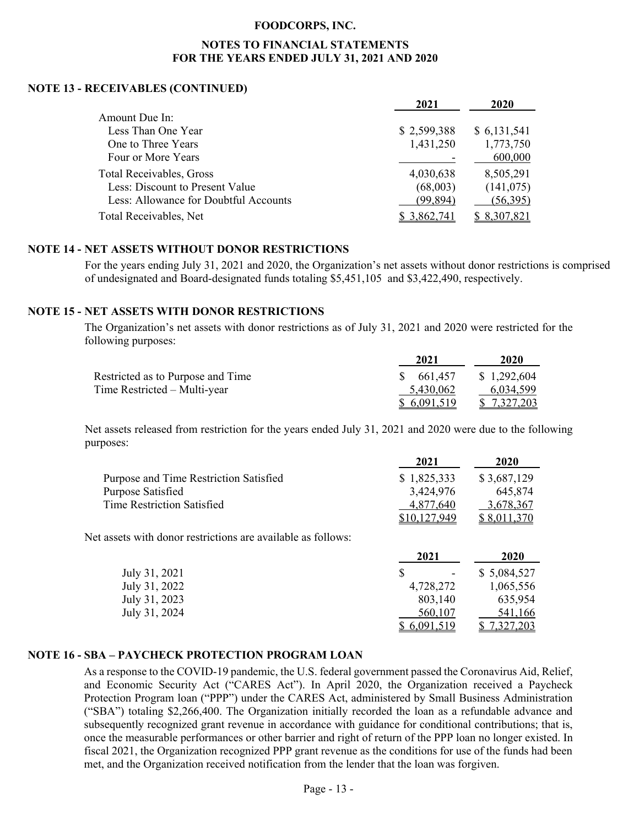#### **NOTES TO FINANCIAL STATEMENTS FOR THE YEARS ENDED JULY 31, 2021 AND 2020**

#### **NOTE 13 - RECEIVABLES (CONTINUED)**

|                                       | 2021        | 2020        |
|---------------------------------------|-------------|-------------|
| Amount Due In:                        |             |             |
| Less Than One Year                    | \$2,599,388 | \$6,131,541 |
| One to Three Years                    | 1,431,250   | 1,773,750   |
| Four or More Years                    |             | 600,000     |
| Total Receivables, Gross              | 4,030,638   | 8,505,291   |
| Less: Discount to Present Value       | (68,003)    | (141, 075)  |
| Less: Allowance for Doubtful Accounts | (99,894)    | (56, 395)   |
| Total Receivables, Net                |             |             |

#### **NOTE 14 - NET ASSETS WITHOUT DONOR RESTRICTIONS**

For the years ending July 31, 2021 and 2020, the Organization's net assets without donor restrictions is comprised of undesignated and Board-designated funds totaling \$5,451,105 and \$3,422,490, respectively.

#### **NOTE 15 - NET ASSETS WITH DONOR RESTRICTIONS**

The Organization's net assets with donor restrictions as of July 31, 2021 and 2020 were restricted for the following purposes:

|                                   | 2021         | 2020               |
|-----------------------------------|--------------|--------------------|
| Restricted as to Purpose and Time | \$ 661.457   | \$1,292,604        |
| Time Restricted – Multi-year      | 5.430,062    | 6,034,599          |
|                                   | \$ 6,091,519 | <u>\$7,327,203</u> |

Net assets released from restriction for the years ended July 31, 2021 and 2020 were due to the following purposes:

|                                                              | 2021         | 2020        |
|--------------------------------------------------------------|--------------|-------------|
| Purpose and Time Restriction Satisfied                       | \$1,825,333  | \$3,687,129 |
| Purpose Satisfied                                            | 3,424,976    | 645,874     |
| <b>Time Restriction Satisfied</b>                            | 4,877,640    | 3,678,367   |
|                                                              | \$10,127,949 | \$8,011,370 |
| Net assets with donor restrictions are available as follows: |              |             |
|                                                              | 2021         | 2020        |
| July 31, 2021                                                | \$.          | \$5,084,527 |
| July 31, 2022                                                | 4,728,272    | 1,065,556   |
| July 31, 2023                                                | 803,140      | 635,954     |
| July 31, 2024                                                | 560,107      | 541,166     |
|                                                              | 6.091.519    | 7,327,203   |

#### **NOTE 16 - SBA – PAYCHECK PROTECTION PROGRAM LOAN**

As a response to the COVID-19 pandemic, the U.S. federal government passed the Coronavirus Aid, Relief, and Economic Security Act ("CARES Act"). In April 2020, the Organization received a Paycheck Protection Program loan ("PPP") under the CARES Act, administered by Small Business Administration ("SBA") totaling \$2,266,400. The Organization initially recorded the loan as a refundable advance and subsequently recognized grant revenue in accordance with guidance for conditional contributions; that is, once the measurable performances or other barrier and right of return of the PPP loan no longer existed. In fiscal 2021, the Organization recognized PPP grant revenue as the conditions for use of the funds had been met, and the Organization received notification from the lender that the loan was forgiven.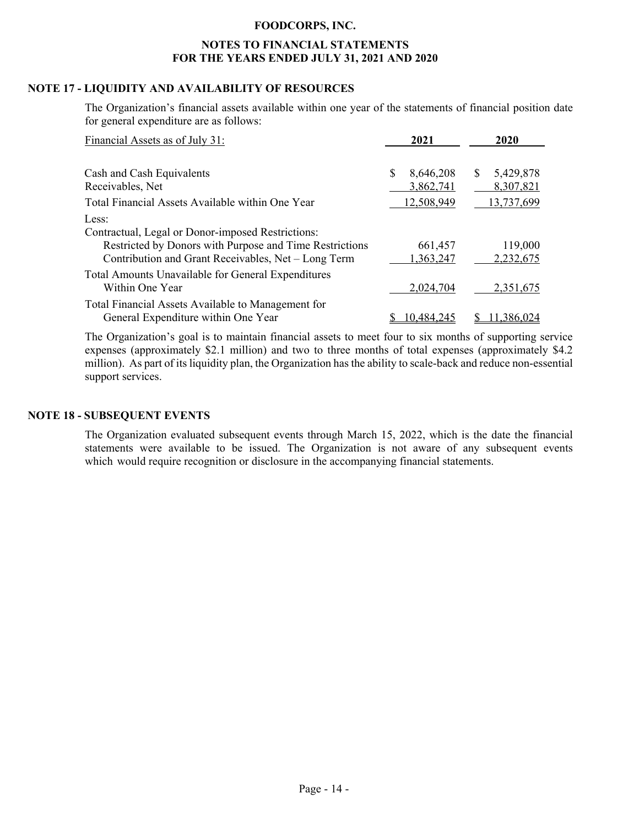#### **NOTES TO FINANCIAL STATEMENTS FOR THE YEARS ENDED JULY 31, 2021 AND 2020**

#### **NOTE 17 - LIQUIDITY AND AVAILABILITY OF RESOURCES**

The Organization's financial assets available within one year of the statements of financial position date for general expenditure are as follows:

| Financial Assets as of July 31:                                                                                                                                              | 2021                          | 2020                        |
|------------------------------------------------------------------------------------------------------------------------------------------------------------------------------|-------------------------------|-----------------------------|
| Cash and Cash Equivalents<br>Receivables, Net                                                                                                                                | \$.<br>8,646,208<br>3,862,741 | 5,429,878<br>S<br>8,307,821 |
| Total Financial Assets Available within One Year                                                                                                                             | 12,508,949                    | 13,737,699                  |
| Less:<br>Contractual, Legal or Donor-imposed Restrictions:<br>Restricted by Donors with Purpose and Time Restrictions<br>Contribution and Grant Receivables, Net - Long Term | 661,457<br>1,363,247          | 119,000<br>2,232,675        |
| Total Amounts Unavailable for General Expenditures<br>Within One Year                                                                                                        | 2,024,704                     | 2,351,675                   |
| Total Financial Assets Available to Management for<br>General Expenditure within One Year                                                                                    | 10,484,245                    | 11,386,024                  |

The Organization's goal is to maintain financial assets to meet four to six months of supporting service expenses (approximately \$2.1 million) and two to three months of total expenses (approximately \$4.2 million). As part of its liquidity plan, the Organization has the ability to scale-back and reduce non-essential support services.

#### **NOTE 18 - SUBSEQUENT EVENTS**

The Organization evaluated subsequent events through March 15, 2022, which is the date the financial statements were available to be issued. The Organization is not aware of any subsequent events which would require recognition or disclosure in the accompanying financial statements.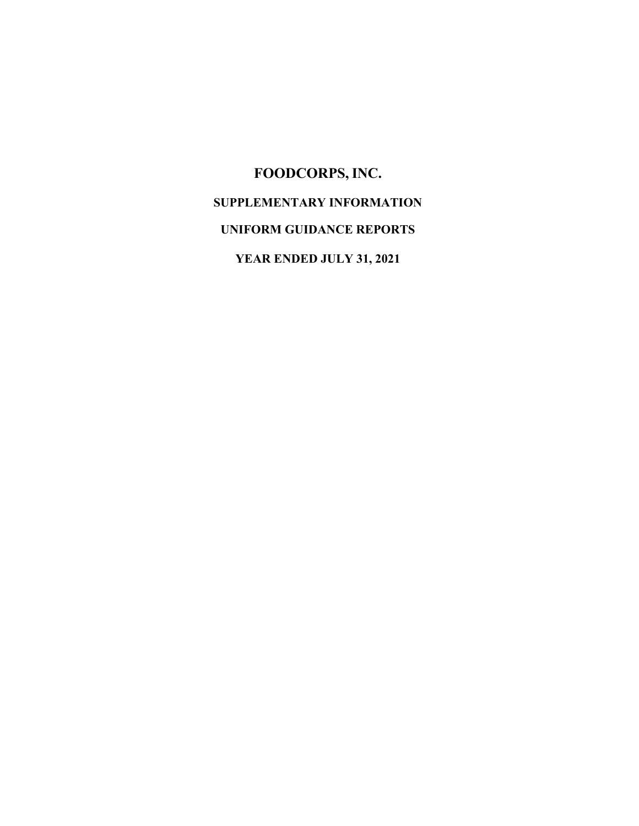# **FOODCORPS, INC. SUPPLEMENTARY INFORMATION UNIFORM GUIDANCE REPORTS YEAR ENDED JULY 31, 2021**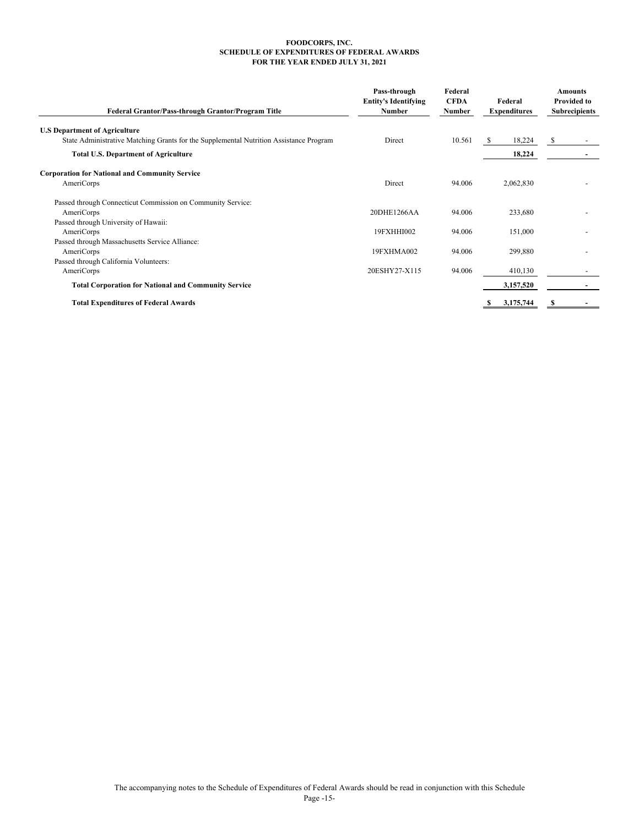#### **FOODCORPS, INC. SCHEDULE OF EXPENDITURES OF FEDERAL AWARDS FOR THE YEAR ENDED JULY 31, 2021**

| <b>Federal Grantor/Pass-through Grantor/Program Title</b>                              | Pass-through<br><b>Entity's Identifying</b><br><b>Number</b> | Federal<br><b>CFDA</b><br><b>Number</b> | Federal<br><b>Expenditures</b> | <b>Amounts</b><br><b>Provided to</b><br><b>Subrecipients</b> |
|----------------------------------------------------------------------------------------|--------------------------------------------------------------|-----------------------------------------|--------------------------------|--------------------------------------------------------------|
| <b>U.S Department of Agriculture</b>                                                   |                                                              |                                         |                                |                                                              |
| State Administrative Matching Grants for the Supplemental Nutrition Assistance Program | Direct                                                       | 10.561                                  | 18,224<br>S.                   | S                                                            |
| <b>Total U.S. Department of Agriculture</b>                                            |                                                              |                                         | 18,224                         |                                                              |
| <b>Corporation for National and Community Service</b>                                  |                                                              |                                         |                                |                                                              |
| AmeriCorps                                                                             | Direct                                                       | 94.006                                  | 2,062,830                      |                                                              |
| Passed through Connecticut Commission on Community Service:                            |                                                              |                                         |                                |                                                              |
| AmeriCorps                                                                             | 20DHE1266AA                                                  | 94.006                                  | 233,680                        |                                                              |
| Passed through University of Hawaii:                                                   |                                                              |                                         |                                |                                                              |
| AmeriCorps                                                                             | 19FXHHI002                                                   | 94.006                                  | 151,000                        |                                                              |
| Passed through Massachusetts Service Alliance:                                         |                                                              |                                         |                                |                                                              |
| AmeriCorps                                                                             | 19FXHMA002                                                   | 94.006                                  | 299,880                        |                                                              |
| Passed through California Volunteers:                                                  |                                                              |                                         |                                |                                                              |
| AmeriCorps                                                                             | 20ESHY27-X115                                                | 94.006                                  | 410,130                        |                                                              |
| <b>Total Corporation for National and Community Service</b>                            |                                                              |                                         | 3,157,520                      |                                                              |
| <b>Total Expenditures of Federal Awards</b>                                            |                                                              |                                         | 3,175,744<br>ъ                 | ×.                                                           |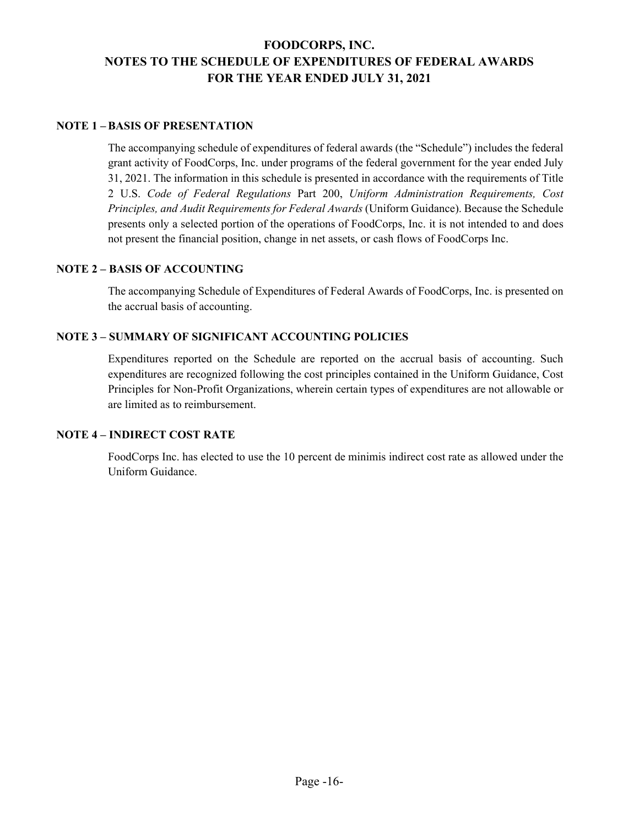# **FOODCORPS, INC. NOTES TO THE SCHEDULE OF EXPENDITURES OF FEDERAL AWARDS FOR THE YEAR ENDED JULY 31, 2021**

#### **NOTE 1 – BASIS OF PRESENTATION**

The accompanying schedule of expenditures of federal awards (the "Schedule") includes the federal grant activity of FoodCorps, Inc. under programs of the federal government for the year ended July 31, 2021. The information in this schedule is presented in accordance with the requirements of Title 2 U.S. *Code of Federal Regulations* Part 200, *Uniform Administration Requirements, Cost Principles, and Audit Requirements for Federal Awards* (Uniform Guidance). Because the Schedule presents only a selected portion of the operations of FoodCorps, Inc. it is not intended to and does not present the financial position, change in net assets, or cash flows of FoodCorps Inc.

#### **NOTE 2 – BASIS OF ACCOUNTING**

The accompanying Schedule of Expenditures of Federal Awards of FoodCorps, Inc. is presented on the accrual basis of accounting.

#### **NOTE 3 – SUMMARY OF SIGNIFICANT ACCOUNTING POLICIES**

Expenditures reported on the Schedule are reported on the accrual basis of accounting. Such expenditures are recognized following the cost principles contained in the Uniform Guidance, Cost Principles for Non-Profit Organizations, wherein certain types of expenditures are not allowable or are limited as to reimbursement.

#### **NOTE 4 – INDIRECT COST RATE**

FoodCorps Inc. has elected to use the 10 percent de minimis indirect cost rate as allowed under the Uniform Guidance.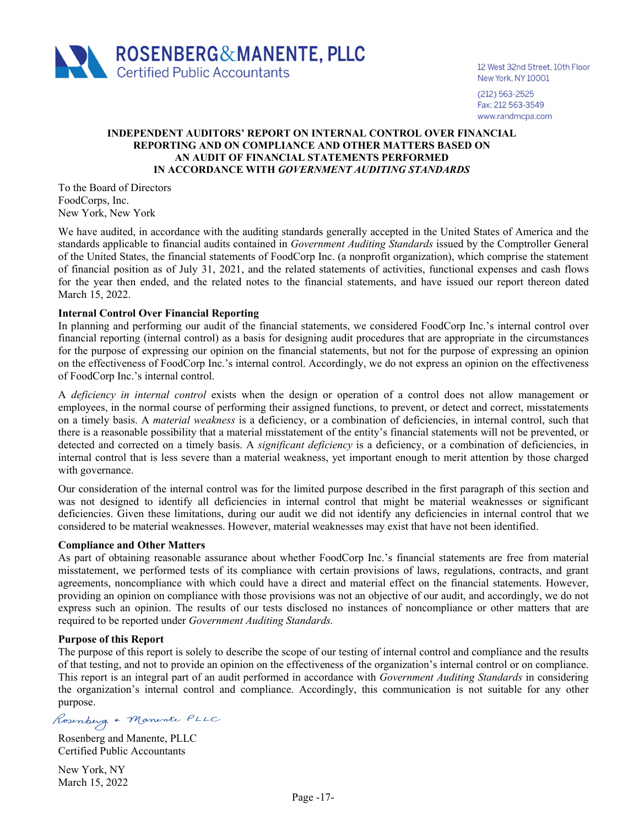

12 West 32nd Street, 10th Floor New York, NY 10001

 $(212) 563 - 2525$ Fax: 212 563-3549 www.randmcpa.com

#### **INDEPENDENT AUDITORS' REPORT ON INTERNAL CONTROL OVER FINANCIAL REPORTING AND ON COMPLIANCE AND OTHER MATTERS BASED ON AN AUDIT OF FINANCIAL STATEMENTS PERFORMED IN ACCORDANCE WITH** *GOVERNMENT AUDITING STANDARDS*

To the Board of Directors FoodCorps, Inc. New York, New York

We have audited, in accordance with the auditing standards generally accepted in the United States of America and the standards applicable to financial audits contained in *Government Auditing Standards* issued by the Comptroller General of the United States, the financial statements of FoodCorp Inc. (a nonprofit organization), which comprise the statement of financial position as of July 31, 2021, and the related statements of activities, functional expenses and cash flows for the year then ended, and the related notes to the financial statements, and have issued our report thereon dated March 15, 2022.

#### **Internal Control Over Financial Reporting**

In planning and performing our audit of the financial statements, we considered FoodCorp Inc.'s internal control over financial reporting (internal control) as a basis for designing audit procedures that are appropriate in the circumstances for the purpose of expressing our opinion on the financial statements, but not for the purpose of expressing an opinion on the effectiveness of FoodCorp Inc.'s internal control. Accordingly, we do not express an opinion on the effectiveness of FoodCorp Inc.'s internal control.

A *deficiency in internal control* exists when the design or operation of a control does not allow management or employees, in the normal course of performing their assigned functions, to prevent, or detect and correct, misstatements on a timely basis. A *material weakness* is a deficiency, or a combination of deficiencies, in internal control, such that there is a reasonable possibility that a material misstatement of the entity's financial statements will not be prevented, or detected and corrected on a timely basis. A *significant deficiency* is a deficiency, or a combination of deficiencies, in internal control that is less severe than a material weakness, yet important enough to merit attention by those charged with governance.

Our consideration of the internal control was for the limited purpose described in the first paragraph of this section and was not designed to identify all deficiencies in internal control that might be material weaknesses or significant deficiencies. Given these limitations, during our audit we did not identify any deficiencies in internal control that we considered to be material weaknesses. However, material weaknesses may exist that have not been identified.

#### **Compliance and Other Matters**

As part of obtaining reasonable assurance about whether FoodCorp Inc.'s financial statements are free from material misstatement, we performed tests of its compliance with certain provisions of laws, regulations, contracts, and grant agreements, noncompliance with which could have a direct and material effect on the financial statements. However, providing an opinion on compliance with those provisions was not an objective of our audit, and accordingly, we do not express such an opinion. The results of our tests disclosed no instances of noncompliance or other matters that are required to be reported under *Government Auditing Standards.* 

#### **Purpose of this Report**

The purpose of this report is solely to describe the scope of our testing of internal control and compliance and the results of that testing, and not to provide an opinion on the effectiveness of the organization's internal control or on compliance. This report is an integral part of an audit performed in accordance with *Government Auditing Standards* in considering the organization's internal control and compliance. Accordingly, this communication is not suitable for any other purpose.

Rosenberg + Manente PLLC

Rosenberg and Manente, PLLC Certified Public Accountants

New York, NY March 15, 2022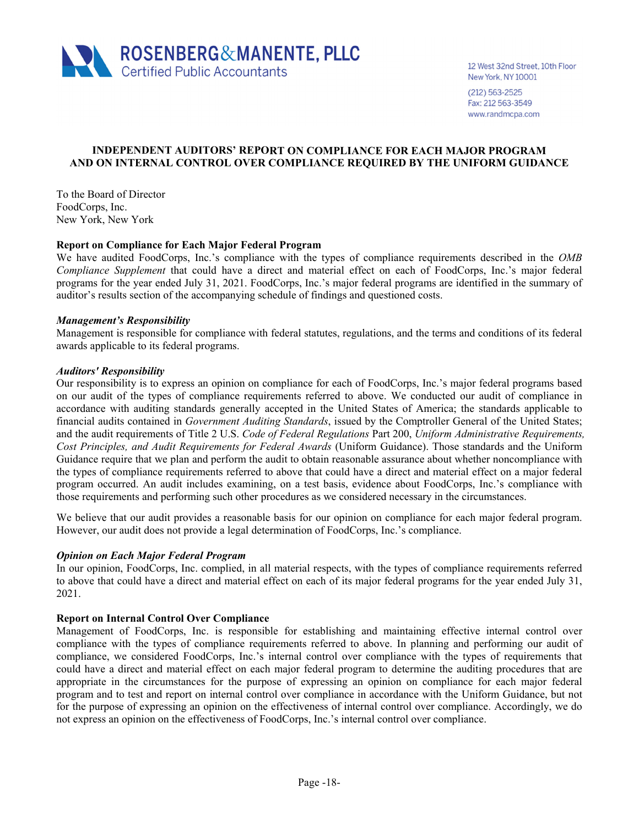

12 West 32nd Street, 10th Floor New York, NY 10001

 $(212) 563 - 2525$ Fax: 212 563-3549 www.randmcpa.com

#### **INDEPENDENT AUDITORS' REPORT ON COMPLIANCE FOR EACH MAJOR PROGRAM AND ON INTERNAL CONTROL OVER COMPLIANCE REQUIRED BY THE UNIFORM GUIDANCE**

To the Board of Director FoodCorps, Inc. New York, New York

#### **Report on Compliance for Each Major Federal Program**

We have audited FoodCorps, Inc.'s compliance with the types of compliance requirements described in the *OMB Compliance Supplement* that could have a direct and material effect on each of FoodCorps, Inc.'s major federal programs for the year ended July 31, 2021. FoodCorps, Inc.'s major federal programs are identified in the summary of auditor's results section of the accompanying schedule of findings and questioned costs.

#### *Management's Responsibility*

Management is responsible for compliance with federal statutes, regulations, and the terms and conditions of its federal awards applicable to its federal programs.

#### *Auditors' Responsibility*

Our responsibility is to express an opinion on compliance for each of FoodCorps, Inc.'s major federal programs based on our audit of the types of compliance requirements referred to above. We conducted our audit of compliance in accordance with auditing standards generally accepted in the United States of America; the standards applicable to financial audits contained in *Government Auditing Standards*, issued by the Comptroller General of the United States; and the audit requirements of Title 2 U.S. *Code of Federal Regulations* Part 200, *Uniform Administrative Requirements, Cost Principles, and Audit Requirements for Federal Awards* (Uniform Guidance). Those standards and the Uniform Guidance require that we plan and perform the audit to obtain reasonable assurance about whether noncompliance with the types of compliance requirements referred to above that could have a direct and material effect on a major federal program occurred. An audit includes examining, on a test basis, evidence about FoodCorps, Inc.'s compliance with those requirements and performing such other procedures as we considered necessary in the circumstances.

We believe that our audit provides a reasonable basis for our opinion on compliance for each major federal program. However, our audit does not provide a legal determination of FoodCorps, Inc.'s compliance.

#### *Opinion on Each Major Federal Program*

In our opinion, FoodCorps, Inc. complied, in all material respects, with the types of compliance requirements referred to above that could have a direct and material effect on each of its major federal programs for the year ended July 31, 2021.

#### **Report on Internal Control Over Compliance**

Management of FoodCorps, Inc. is responsible for establishing and maintaining effective internal control over compliance with the types of compliance requirements referred to above. In planning and performing our audit of compliance, we considered FoodCorps, Inc.'s internal control over compliance with the types of requirements that could have a direct and material effect on each major federal program to determine the auditing procedures that are appropriate in the circumstances for the purpose of expressing an opinion on compliance for each major federal program and to test and report on internal control over compliance in accordance with the Uniform Guidance, but not for the purpose of expressing an opinion on the effectiveness of internal control over compliance. Accordingly, we do not express an opinion on the effectiveness of FoodCorps, Inc.'s internal control over compliance.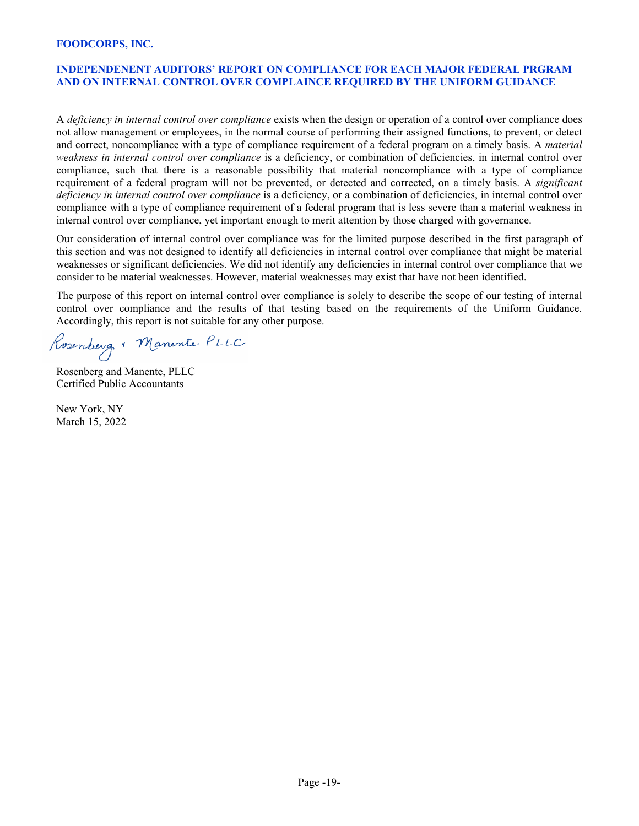#### **INDEPENDENENT AUDITORS' REPORT ON COMPLIANCE FOR EACH MAJOR FEDERAL PRGRAM AND ON INTERNAL CONTROL OVER COMPLAINCE REQUIRED BY THE UNIFORM GUIDANCE**

A *deficiency in internal control over compliance* exists when the design or operation of a control over compliance does not allow management or employees, in the normal course of performing their assigned functions, to prevent, or detect and correct, noncompliance with a type of compliance requirement of a federal program on a timely basis. A *material weakness in internal control over compliance* is a deficiency, or combination of deficiencies, in internal control over compliance, such that there is a reasonable possibility that material noncompliance with a type of compliance requirement of a federal program will not be prevented, or detected and corrected, on a timely basis. A *significant deficiency in internal control over compliance* is a deficiency, or a combination of deficiencies, in internal control over compliance with a type of compliance requirement of a federal program that is less severe than a material weakness in internal control over compliance, yet important enough to merit attention by those charged with governance.

Our consideration of internal control over compliance was for the limited purpose described in the first paragraph of this section and was not designed to identify all deficiencies in internal control over compliance that might be material weaknesses or significant deficiencies. We did not identify any deficiencies in internal control over compliance that we consider to be material weaknesses. However, material weaknesses may exist that have not been identified.

The purpose of this report on internal control over compliance is solely to describe the scope of our testing of internal control over compliance and the results of that testing based on the requirements of the Uniform Guidance. Accordingly, this report is not suitable for any other purpose.

Rosenberg + Manente PLLC

Rosenberg and Manente, PLLC Certified Public Accountants

New York, NY March 15, 2022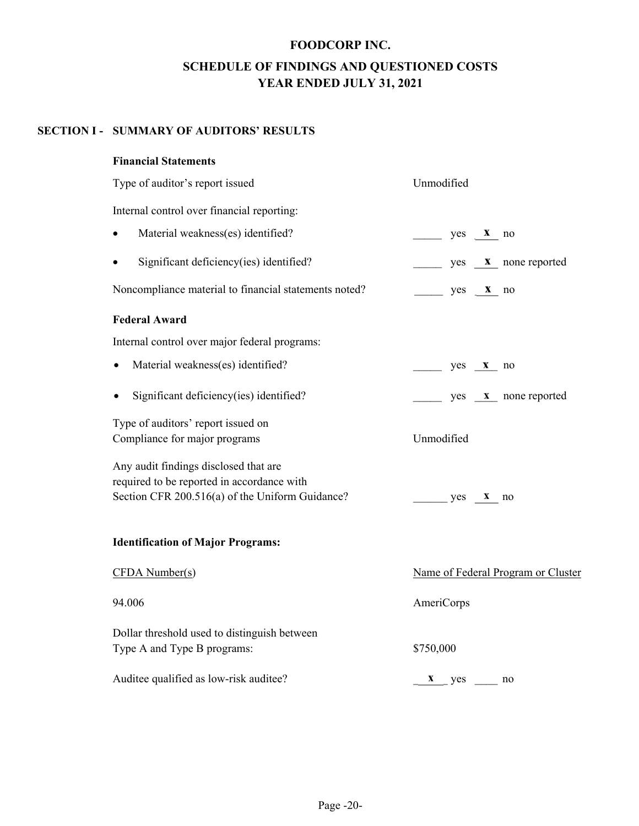# **FOODCORP INC. SCHEDULE OF FINDINGS AND QUESTIONED COSTS YEAR ENDED JULY 31, 2021**

#### **SECTION I - SUMMARY OF AUDITORS' RESULTS**

#### **Financial Statements**

| Type of auditor's report issued                                                               | Unmodified                                      |
|-----------------------------------------------------------------------------------------------|-------------------------------------------------|
| Internal control over financial reporting:                                                    |                                                 |
| Material weakness(es) identified?                                                             | yes $\frac{\mathbf{x}}{2}$ no                   |
| Significant deficiency(ies) identified?<br>$\bullet$                                          | $\frac{\ }{2}$ yes $\frac{\ }{2}$ none reported |
| Noncompliance material to financial statements noted?                                         | $yes$ <b>x</b> no                               |
| <b>Federal Award</b>                                                                          |                                                 |
| Internal control over major federal programs:                                                 |                                                 |
| Material weakness(es) identified?                                                             | yes<br>$\mathbf{x}$ no                          |
| Significant deficiency(ies) identified?<br>٠                                                  | yes <b>x</b> none reported                      |
| Type of auditors' report issued on                                                            |                                                 |
| Compliance for major programs                                                                 | Unmodified                                      |
| Any audit findings disclosed that are                                                         |                                                 |
| required to be reported in accordance with<br>Section CFR 200.516(a) of the Uniform Guidance? | yes<br>$\mathbf{x}$ no                          |
|                                                                                               |                                                 |
| <b>Identification of Major Programs:</b>                                                      |                                                 |
| $CFDA$ Number(s)                                                                              | Name of Federal Program or Cluster              |
| 94.006                                                                                        | AmeriCorps                                      |
| Dollar threshold used to distinguish between                                                  |                                                 |
| Type A and Type B programs:                                                                   | \$750,000                                       |
| Auditee qualified as low-risk auditee?                                                        | x yes no                                        |